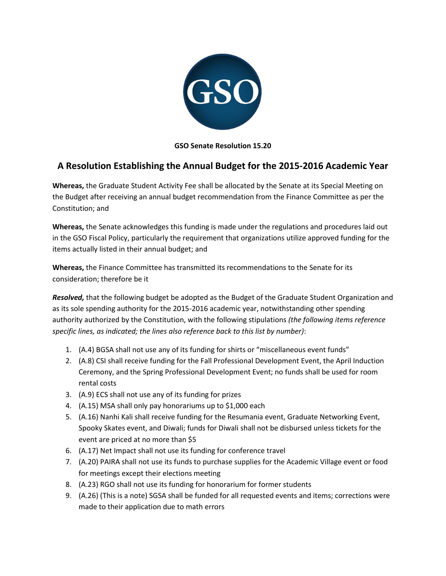

**GSO Senate Resolution 15.20**

## **A Resolution Establishing the Annual Budget for the 2015-2016 Academic Year**

**Whereas,** the Graduate Student Activity Fee shall be allocated by the Senate at its Special Meeting on the Budget after receiving an annual budget recommendation from the Finance Committee as per the Constitution; and

**Whereas,** the Senate acknowledges this funding is made under the regulations and procedures laid out in the GSO Fiscal Policy, particularly the requirement that organizations utilize approved funding for the items actually listed in their annual budget; and

**Whereas,** the Finance Committee has transmitted its recommendations to the Senate for its consideration; therefore be it

*Resolved,* that the following budget be adopted as the Budget of the Graduate Student Organization and as its sole spending authority for the 2015-2016 academic year, notwithstanding other spending authority authorized by the Constitution, with the following stipulations *(the following items reference specific lines, as indicated; the lines also reference back to this list by number)*:

- 1. (A.4) BGSA shall not use any of its funding for shirts or "miscellaneous event funds"
- 2. (A.8) CSI shall receive funding for the Fall Professional Development Event, the April Induction Ceremony, and the Spring Professional Development Event; no funds shall be used for room rental costs
- 3. (A.9) ECS shall not use any of its funding for prizes
- 4. (A.15) MSA shall only pay honorariums up to \$1,000 each
- 5. (A.16) Nanhi Kali shall receive funding for the Resumania event, Graduate Networking Event, Spooky Skates event, and Diwali; funds for Diwali shall not be disbursed unless tickets for the event are priced at no more than \$5
- 6. (A.17) Net Impact shall not use its funding for conference travel
- 7. (A.20) PAIRA shall not use its funds to purchase supplies for the Academic Village event or food for meetings except their elections meeting
- 8. (A.23) RGO shall not use its funding for honorarium for former students
- 9. (A.26) (This is a note) SGSA shall be funded for all requested events and items; corrections were made to their application due to math errors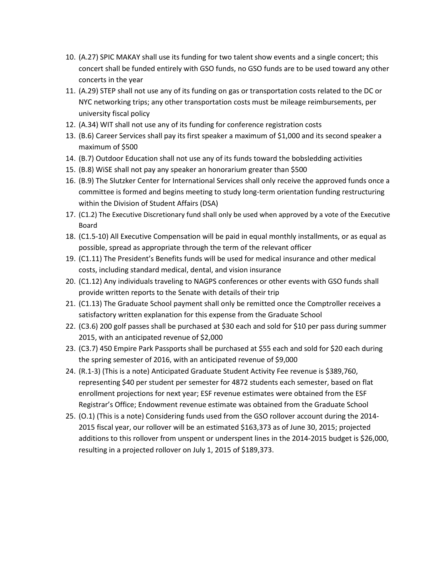- 10. (A.27) SPIC MAKAY shall use its funding for two talent show events and a single concert; this concert shall be funded entirely with GSO funds, no GSO funds are to be used toward any other concerts in the year
- 11. (A.29) STEP shall not use any of its funding on gas or transportation costs related to the DC or NYC networking trips; any other transportation costs must be mileage reimbursements, per university fiscal policy
- 12. (A.34) WIT shall not use any of its funding for conference registration costs
- 13. (B.6) Career Services shall pay its first speaker a maximum of \$1,000 and its second speaker a maximum of \$500
- 14. (B.7) Outdoor Education shall not use any of its funds toward the bobsledding activities
- 15. (B.8) WiSE shall not pay any speaker an honorarium greater than \$500
- 16. (B.9) The Slutzker Center for International Services shall only receive the approved funds once a committee is formed and begins meeting to study long-term orientation funding restructuring within the Division of Student Affairs (DSA)
- 17. (C1.2) The Executive Discretionary fund shall only be used when approved by a vote of the Executive Board
- 18. (C1.5-10) All Executive Compensation will be paid in equal monthly installments, or as equal as possible, spread as appropriate through the term of the relevant officer
- 19. (C1.11) The President's Benefits funds will be used for medical insurance and other medical costs, including standard medical, dental, and vision insurance
- 20. (C1.12) Any individuals traveling to NAGPS conferences or other events with GSO funds shall provide written reports to the Senate with details of their trip
- 21. (C1.13) The Graduate School payment shall only be remitted once the Comptroller receives a satisfactory written explanation for this expense from the Graduate School
- 22. (C3.6) 200 golf passes shall be purchased at \$30 each and sold for \$10 per pass during summer 2015, with an anticipated revenue of \$2,000
- 23. (C3.7) 450 Empire Park Passports shall be purchased at \$55 each and sold for \$20 each during the spring semester of 2016, with an anticipated revenue of \$9,000
- 24. (R.1-3) (This is a note) Anticipated Graduate Student Activity Fee revenue is \$389,760, representing \$40 per student per semester for 4872 students each semester, based on flat enrollment projections for next year; ESF revenue estimates were obtained from the ESF Registrar's Office; Endowment revenue estimate was obtained from the Graduate School
- 25. (O.1) (This is a note) Considering funds used from the GSO rollover account during the 2014- 2015 fiscal year, our rollover will be an estimated \$163,373 as of June 30, 2015; projected additions to this rollover from unspent or underspent lines in the 2014-2015 budget is \$26,000, resulting in a projected rollover on July 1, 2015 of \$189,373.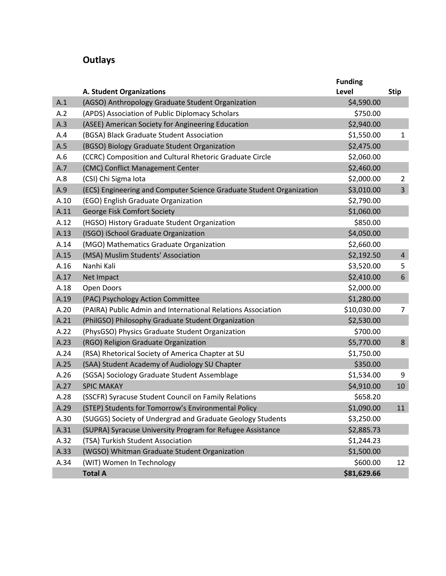# **Outlays**

|      |                                                                      | <b>Funding</b> |                 |
|------|----------------------------------------------------------------------|----------------|-----------------|
|      | <b>A. Student Organizations</b>                                      | <b>Level</b>   | <b>Stip</b>     |
| A.1  | (AGSO) Anthropology Graduate Student Organization                    | \$4,590.00     |                 |
| A.2  | (APDS) Association of Public Diplomacy Scholars                      | \$750.00       |                 |
| A.3  | (ASEE) American Society for Angineering Education                    | \$2,940.00     |                 |
| A.4  | (BGSA) Black Graduate Student Association                            | \$1,550.00     | $\mathbf{1}$    |
| A.5  | (BGSO) Biology Graduate Student Organization                         | \$2,475.00     |                 |
| A.6  | (CCRC) Composition and Cultural Rhetoric Graduate Circle             | \$2,060.00     |                 |
| A.7  | (CMC) Conflict Management Center                                     | \$2,460.00     |                 |
| A.8  | (CSI) Chi Sigma Iota                                                 | \$2,000.00     | $\overline{2}$  |
| A.9  | (ECS) Engineering and Computer Science Graduate Student Organization | \$3,010.00     | $\overline{3}$  |
| A.10 | (EGO) English Graduate Organization                                  | \$2,790.00     |                 |
| A.11 | George Fisk Comfort Society                                          | \$1,060.00     |                 |
| A.12 | (HGSO) History Graduate Student Organization                         | \$850.00       |                 |
| A.13 | (ISGO) iSchool Graduate Organization                                 | \$4,050.00     |                 |
| A.14 | (MGO) Mathematics Graduate Organization                              | \$2,660.00     |                 |
| A.15 | (MSA) Muslim Students' Association                                   | \$2,192.50     | $\overline{4}$  |
| A.16 | Nanhi Kali                                                           | \$3,520.00     | 5               |
| A.17 | Net Impact                                                           | \$2,410.00     | $6\overline{6}$ |
| A.18 | Open Doors                                                           | \$2,000.00     |                 |
| A.19 | (PAC) Psychology Action Committee                                    | \$1,280.00     |                 |
| A.20 | (PAIRA) Public Admin and International Relations Association         | \$10,030.00    | $\overline{7}$  |
| A.21 | (PhilGSO) Philosophy Graduate Student Organization                   | \$2,530.00     |                 |
| A.22 | (PhysGSO) Physics Graduate Student Organization                      | \$700.00       |                 |
| A.23 | (RGO) Religion Graduate Organization                                 | \$5,770.00     | 8               |
| A.24 | (RSA) Rhetorical Society of America Chapter at SU                    | \$1,750.00     |                 |
| A.25 | (SAA) Student Academy of Audiology SU Chapter                        | \$350.00       |                 |
| A.26 | (SGSA) Sociology Graduate Student Assemblage                         | \$1,534.00     | 9               |
| A.27 | <b>SPIC MAKAY</b>                                                    | \$4,910.00     | 10              |
| A.28 | (SSCFR) Syracuse Student Council on Family Relations                 | \$658.20       |                 |
| A.29 | (STEP) Students for Tomorrow's Environmental Policy                  | \$1,090.00     | 11              |
| A.30 | (SUGGS) Society of Undergrad and Graduate Geology Students           | \$3,250.00     |                 |
| A.31 | (SUPRA) Syracuse University Program for Refugee Assistance           | \$2,885.73     |                 |
| A.32 | (TSA) Turkish Student Association                                    | \$1,244.23     |                 |
| A.33 | (WGSO) Whitman Graduate Student Organization                         | \$1,500.00     |                 |
| A.34 | (WIT) Women In Technology                                            | \$600.00       | 12              |
|      | <b>Total A</b>                                                       | \$81,629.66    |                 |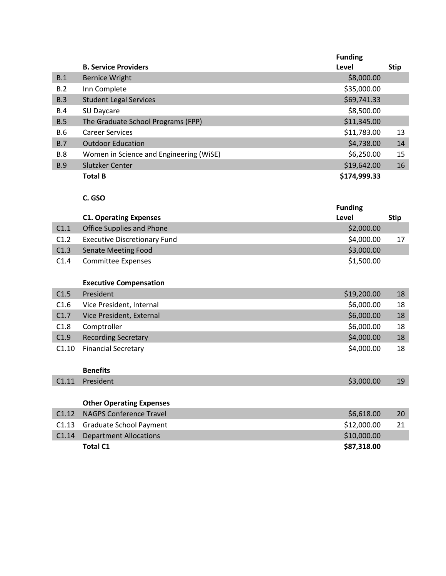|            |                                         | <b>Funding</b> |             |
|------------|-----------------------------------------|----------------|-------------|
|            | <b>B. Service Providers</b>             | Level          | <b>Stip</b> |
| B.1        | <b>Bernice Wright</b>                   | \$8,000.00     |             |
| B.2        | Inn Complete                            | \$35,000.00    |             |
| B.3        | <b>Student Legal Services</b>           | \$69,741.33    |             |
| B.4        | SU Daycare                              | \$8,500.00     |             |
| B.5        | The Graduate School Programs (FPP)      | \$11,345.00    |             |
| <b>B.6</b> | <b>Career Services</b>                  | \$11,783.00    | 13          |
| B.7        | <b>Outdoor Education</b>                | \$4,738.00     | 14          |
| <b>B.8</b> | Women in Science and Engineering (WiSE) | \$6,250.00     | 15          |
| <b>B.9</b> | <b>Slutzker Center</b>                  | \$19,642.00    | 16          |
|            | <b>Total B</b>                          | \$174,999.33   |             |

#### **C. GSO**

|                  |                                     | <b>Funding</b> |             |
|------------------|-------------------------------------|----------------|-------------|
|                  | <b>C1. Operating Expenses</b>       | Level          | <b>Stip</b> |
| C1.1             | Office Supplies and Phone           | \$2,000.00     |             |
| C <sub>1.2</sub> | <b>Executive Discretionary Fund</b> | \$4,000.00     | 17          |
| C1.3             | Senate Meeting Food                 | \$3,000.00     |             |
| C <sub>1.4</sub> | <b>Committee Expenses</b>           | \$1,500.00     |             |

#### **Executive Compensation**

| C1.5             | President                  | \$19,200.00 | 18 |
|------------------|----------------------------|-------------|----|
| C1.6             | Vice President, Internal   | \$6,000.00  | 18 |
| C <sub>1.7</sub> | Vice President, External   | \$6,000.00  | 18 |
| C1.8             | Comptroller                | \$6,000.00  | 18 |
| C1.9             | <b>Recording Secretary</b> | \$4,000.00  | 18 |
| C1.10            | <b>Financial Secretary</b> | \$4,000.00  | 18 |

#### **Benefits**

| C1.11 President | \$3,000.00 | د ک |
|-----------------|------------|-----|
|                 |            |     |

### **Other Operating Expenses**

| C1.13 Graduate School Payment<br>C1.14 Department Allocations | \$12,000.00<br>\$10,000.00 |  |
|---------------------------------------------------------------|----------------------------|--|
| <b>Total C1</b>                                               | \$87,318.00                |  |